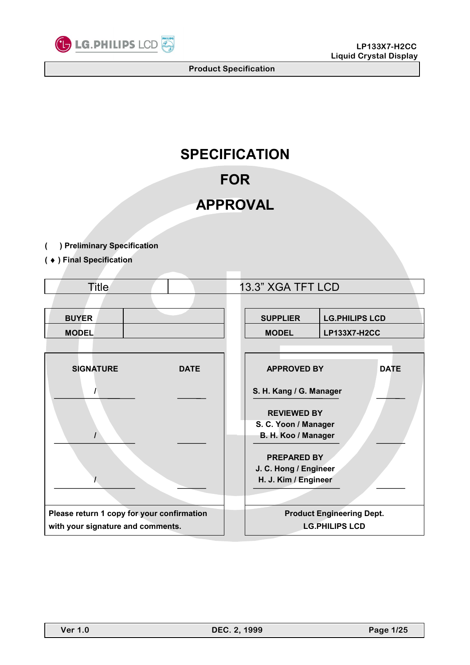

# **SPECIFICATION**

# **FOR**

# **APPROVAL**

- **( ) Preliminary Specification**
- **(** ♦ **) Final Specification**

| <b>Title</b>                               |             | 13.3" XGA TFT LCD                           |                                  |  |  |  |  |  |
|--------------------------------------------|-------------|---------------------------------------------|----------------------------------|--|--|--|--|--|
|                                            |             |                                             |                                  |  |  |  |  |  |
| <b>BUYER</b>                               |             | <b>SUPPLIER</b>                             | <b>LG.PHILIPS LCD</b>            |  |  |  |  |  |
| <b>MODEL</b>                               |             | <b>MODEL</b>                                | <b>LP133X7-H2CC</b>              |  |  |  |  |  |
|                                            |             |                                             |                                  |  |  |  |  |  |
| <b>SIGNATURE</b>                           | <b>DATE</b> | <b>APPROVED BY</b><br><b>DATE</b>           |                                  |  |  |  |  |  |
|                                            |             | S. H. Kang / G. Manager                     |                                  |  |  |  |  |  |
|                                            |             | <b>REVIEWED BY</b>                          |                                  |  |  |  |  |  |
|                                            |             | S. C. Yoon / Manager<br>B. H. Koo / Manager |                                  |  |  |  |  |  |
|                                            |             |                                             |                                  |  |  |  |  |  |
|                                            |             | <b>PREPARED BY</b>                          |                                  |  |  |  |  |  |
|                                            |             | J. C. Hong / Engineer                       |                                  |  |  |  |  |  |
|                                            |             | H. J. Kim / Engineer                        |                                  |  |  |  |  |  |
|                                            |             |                                             |                                  |  |  |  |  |  |
| Please return 1 copy for your confirmation |             |                                             | <b>Product Engineering Dept.</b> |  |  |  |  |  |
| with your signature and comments.          |             |                                             | <b>LG.PHILIPS LCD</b>            |  |  |  |  |  |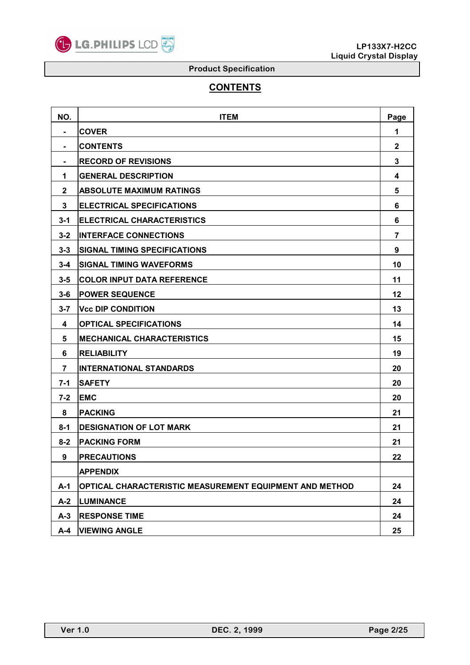

# **CONTENTS**

| NO.          | <b>ITEM</b>                                             | Page           |
|--------------|---------------------------------------------------------|----------------|
|              | <b>COVER</b>                                            | 1              |
|              | <b>CONTENTS</b>                                         | $\mathbf{2}$   |
|              | <b>RECORD OF REVISIONS</b>                              | 3              |
| 1            | <b>GENERAL DESCRIPTION</b>                              | 4              |
| $\mathbf{2}$ | <b>ABSOLUTE MAXIMUM RATINGS</b>                         | 5              |
| 3            | <b>ELECTRICAL SPECIFICATIONS</b>                        | 6              |
| $3 - 1$      | <b>ELECTRICAL CHARACTERISTICS</b>                       | 6              |
| $3 - 2$      | <b>INTERFACE CONNECTIONS</b>                            | $\overline{7}$ |
| $3 - 3$      | <b>SIGNAL TIMING SPECIFICATIONS</b>                     | 9              |
| $3 - 4$      | <b>SIGNAL TIMING WAVEFORMS</b>                          | 10             |
| $3 - 5$      | <b>COLOR INPUT DATA REFERENCE</b>                       | 11             |
| $3 - 6$      | <b>POWER SEQUENCE</b>                                   | 12             |
| $3 - 7$      | <b>Vcc DIP CONDITION</b>                                | 13             |
| 4            | <b>OPTICAL SPECIFICATIONS</b>                           | 14             |
| 5            | <b>MECHANICAL CHARACTERISTICS</b>                       | 15             |
| 6            | <b>RELIABILITY</b>                                      | 19             |
| 7            | <b>INTERNATIONAL STANDARDS</b>                          | 20             |
| $7 - 1$      | <b>SAFETY</b>                                           | 20             |
| $7 - 2$      | <b>EMC</b>                                              | 20             |
| 8            | <b>PACKING</b>                                          | 21             |
| $8 - 1$      | <b>DESIGNATION OF LOT MARK</b>                          | 21             |
| $8 - 2$      | <b>PACKING FORM</b>                                     | 21             |
| 9            | <b>PRECAUTIONS</b>                                      | 22             |
|              | <b>APPENDIX</b>                                         |                |
| $A-1$        | OPTICAL CHARACTERISTIC MEASUREMENT EQUIPMENT AND METHOD | 24             |
| $A-2$        | <b>LUMINANCE</b>                                        | 24             |
| $A-3$        | <b>RESPONSE TIME</b>                                    | 24             |
| $A-4$        | <b>VIEWING ANGLE</b>                                    | 25             |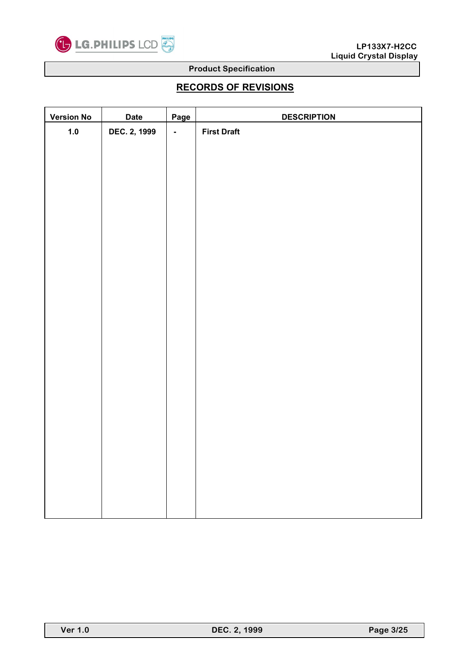

# **RECORDS OF REVISIONS**

| <b>Version No</b> | <b>Date</b>  | Page           | <b>DESCRIPTION</b> |
|-------------------|--------------|----------------|--------------------|
| $1.0$             | DEC. 2, 1999 | $\blacksquare$ | <b>First Draft</b> |
|                   |              |                |                    |
|                   |              |                |                    |
|                   |              |                |                    |
|                   |              |                |                    |
|                   |              |                |                    |
|                   |              |                |                    |
|                   |              |                |                    |
|                   |              |                |                    |
|                   |              |                |                    |
|                   |              |                |                    |
|                   |              |                |                    |
|                   |              |                |                    |
|                   |              |                |                    |
|                   |              |                |                    |
|                   |              |                |                    |
|                   |              |                |                    |
|                   |              |                |                    |
|                   |              |                |                    |
|                   |              |                |                    |
|                   |              |                |                    |
|                   |              |                |                    |
|                   |              |                |                    |
|                   |              |                |                    |
|                   |              |                |                    |
|                   |              |                |                    |
|                   |              |                |                    |
|                   |              |                |                    |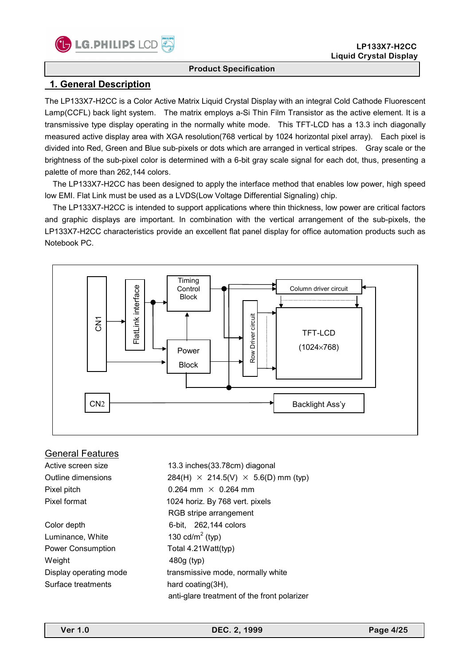

# **1. General Description**

The LP133X7-H2CC is a Color Active Matrix Liquid Crystal Display with an integral Cold Cathode Fluorescent Lamp(CCFL) back light system. The matrix employs a-Si Thin Film Transistor as the active element. It is a transmissive type display operating in the normally white mode. This TFT-LCD has a 13.3 inch diagonally measured active display area with XGA resolution(768 vertical by 1024 horizontal pixel array). Each pixel is divided into Red, Green and Blue sub-pixels or dots which are arranged in vertical stripes. Gray scale or the brightness of the sub-pixel color is determined with a 6-bit gray scale signal for each dot, thus, presenting a palette of more than 262,144 colors.

 The LP133X7-H2CC has been designed to apply the interface method that enables low power, high speed low EMI. Flat Link must be used as a LVDS(Low Voltage Differential Signaling) chip.

 The LP133X7-H2CC is intended to support applications where thin thickness, low power are critical factors and graphic displays are important. In combination with the vertical arrangement of the sub-pixels, the LP133X7-H2CC characteristics provide an excellent flat panel display for office automation products such as Notebook PC.



### General Features

Active screen size 13.3 inches(33.78cm) diagonal Outline dimensions 284(H)  $\times$  214.5(V)  $\times$  5.6(D) mm (typ) Pixel pitch  $0.264$  mm  $\times$  0.264 mm Pixel format 1024 horiz. By 768 vert. pixels RGB stripe arrangement Color depth 6-bit, 262,144 colors Luminance, White 130  $\text{cd/m}^2$  (typ) Power Consumption Total 4.21Watt(typ) Weight 480g (typ) Display operating mode transmissive mode, normally white Surface treatments hard coating(3H), anti-glare treatment of the front polarizer

**Ver 1.0 DEC. 2, 1999 Page 4/25**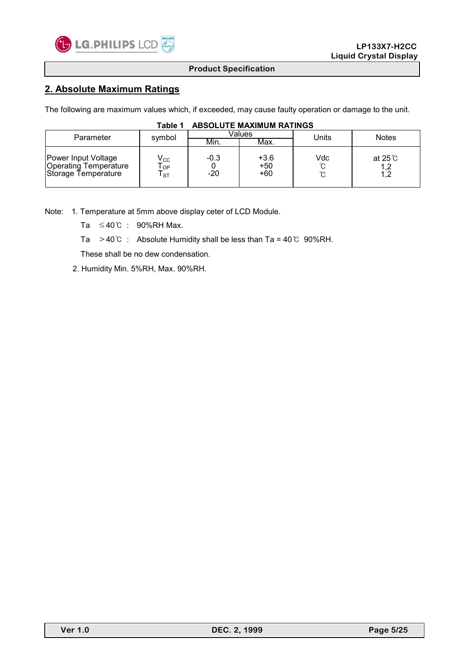

# **2. Absolute Maximum Ratings**

The following are maximum values which, if exceeded, may cause faulty operation or damage to the unit.

| Parameter                                                                  | symbol                                        |                 | Values                 | Units         | <b>Notes</b>                   |  |  |
|----------------------------------------------------------------------------|-----------------------------------------------|-----------------|------------------------|---------------|--------------------------------|--|--|
|                                                                            |                                               | Min.            | Max.                   |               |                                |  |  |
| Power Input Voltage<br><b>Operating Temperature</b><br>Storage Temperature | $\mathsf{V}_{\mathsf{CC}}$<br>OP<br><b>ST</b> | $-0.3$<br>$-20$ | $+3.6$<br>$+50$<br>+60 | Vdc<br>ົ<br>ົ | at 25 $^\circ$ C<br>1,2<br>1,2 |  |  |

### **Table 1 ABSOLUTE MAXIMUM RATINGS**

Note: 1. Temperature at 5mm above display ceter of LCD Module.

Ta ≤40℃ : 90%RH Max.

Ta >40℃ : Absolute Humidity shall be less than Ta = 40℃ 90%RH.

These shall be no dew condensation.

2. Humidity Min. 5%RH, Max. 90%RH.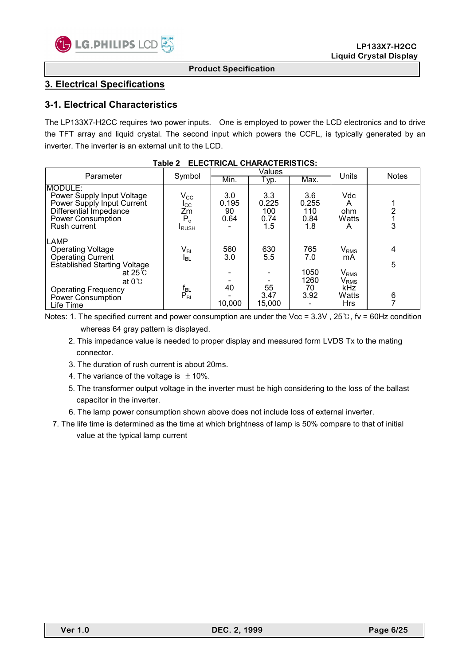

# **3. Electrical Specifications**

## **3-1. Electrical Characteristics**

The LP133X7-H2CC requires two power inputs. One is employed to power the LCD electronics and to drive the TFT array and liquid crystal. The second input which powers the CCFL, is typically generated by an inverter. The inverter is an external unit to the LCD.

| Parameter                                                                                                                                                                                           | Symbol                                                                     |                            | Values                             | Units                                    | <b>Notes</b>                                                                                                                  |             |
|-----------------------------------------------------------------------------------------------------------------------------------------------------------------------------------------------------|----------------------------------------------------------------------------|----------------------------|------------------------------------|------------------------------------------|-------------------------------------------------------------------------------------------------------------------------------|-------------|
|                                                                                                                                                                                                     |                                                                            | Min.                       | Typ.                               | Max.                                     |                                                                                                                               |             |
| IMODULE:<br>Power Supply Input Voltage<br>Power Supply Input Current<br>Differential Impedance<br>Power Consumption<br>Rush current                                                                 | $\mathsf{V}_{\mathsf{CC}}$<br>$_{\rm{ICC}}$<br>Zm<br>$P_c$<br><b>IRUSH</b> | 3.0<br>0.195<br>90<br>0.64 | 3.3<br>0.225<br>100<br>0.74<br>1.5 | 3.6<br>0.255<br>110<br>0.84<br>1.8       | <b>Vdc</b><br>А<br>ohm<br>Watts<br>A                                                                                          | 3           |
| <b>LAMP</b><br><b>Operating Voltage</b><br>Operating Current<br>Established Starting Voltage<br>at $25^\circ$ C<br>at $0^{\circ}$ C<br><b>Operating Frequency</b><br>Power Consumption<br>Life Time | $\mathsf{V}_{\mathsf{BL}}$<br><b>I</b> BL<br>$\frac{f_{BL}}{P_{BL}}$       | 560<br>3.0<br>40<br>10,000 | 630<br>5.5<br>55<br>3.47<br>15,000 | 765<br>7.0<br>1050<br>1260<br>70<br>3.92 | $\mathsf{V}_{\mathsf{RMS}}$<br>mA<br>$\mathsf{V}_{\mathsf{RMS}}$<br>$\mathsf{V}_{\mathsf{RMS}}$<br>kHz<br>Watts<br><b>Hrs</b> | 4<br>5<br>6 |

|  |  | Table 2 ELECTRICAL CHARACTERISTICS: |
|--|--|-------------------------------------|
|--|--|-------------------------------------|

Notes: 1. The specified current and power consumption are under the Vcc = 3.3V, 25℃, fv = 60Hz condition whereas 64 gray pattern is displayed.

- 2. This impedance value is needed to proper display and measured form LVDS Tx to the mating connector.
- 3. The duration of rush current is about 20ms.
- 4. The variance of the voltage is  $\pm$  10%.
- 5. The transformer output voltage in the inverter must be high considering to the loss of the ballast capacitor in the inverter.
- 6. The lamp power consumption shown above does not include loss of external inverter.
- 7. The life time is determined as the time at which brightness of lamp is 50% compare to that of initial value at the typical lamp current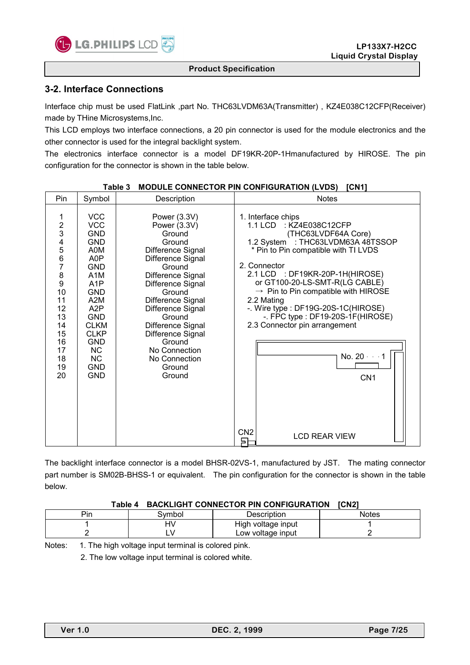

## **3-2. Interface Connections**

Interface chip must be used FlatLink ,part No. THC63LVDM63A(Transmitter) , KZ4E038C12CFP(Receiver) made by THine Microsystems,Inc.

This LCD employs two interface connections, a 20 pin connector is used for the module electronics and the other connector is used for the integral backlight system.

The electronics interface connector is a model DF19KR-20P-1Hmanufactured by HIROSE. The pin configuration for the connector is shown in the table below.

### Table 3 MODULE CONNECTOR PIN CONFIGURATION (LVDS) [CN1]

The backlight interface connector is a model BHSR-02VS-1, manufactured by JST. The mating connector part number is SM02B-BHSS-1 or equivalent. The pin configuration for the connector is shown in the table below.

#### **Table 4 BACKLIGHT CONNECTOR PIN CONFIGURATION [CN2]**

| Pin | 3vmbol | Description        | Notes |
|-----|--------|--------------------|-------|
|     | -11    | High voltage input |       |
|     | . .    | Low voltage input  |       |

Notes: 1. The high voltage input terminal is colored pink.

2. The low voltage input terminal is colored white.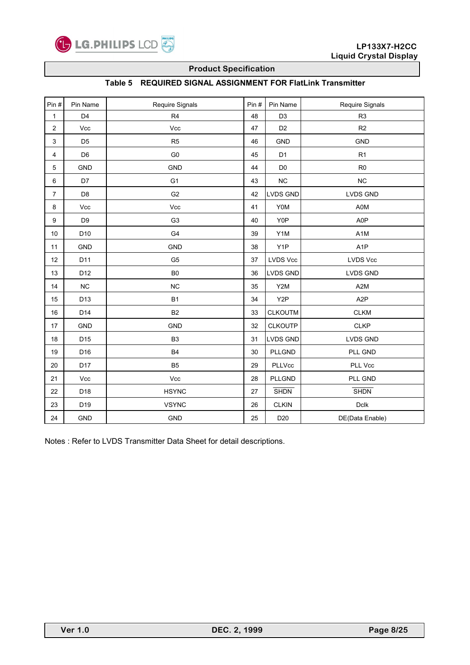

### **Table 5 REQUIRED SIGNAL ASSIGNMENT FOR FlatLink Transmitter**

| Pin#                    | Pin Name        | Require Signals | Pin# | Pin Name         | Require Signals  |
|-------------------------|-----------------|-----------------|------|------------------|------------------|
| 1                       | D <sub>4</sub>  | R <sub>4</sub>  | 48   | D <sub>3</sub>   | R <sub>3</sub>   |
| $\overline{\mathbf{c}}$ | Vcc             | Vcc             | 47   | D <sub>2</sub>   | R2               |
| 3                       | D <sub>5</sub>  | R <sub>5</sub>  | 46   | <b>GND</b>       | <b>GND</b>       |
| 4                       | D <sub>6</sub>  | ${\rm G0}$      | 45   | D <sub>1</sub>   | R1               |
| 5                       | <b>GND</b>      | GND             | 44   | D <sub>0</sub>   | R <sub>0</sub>   |
| 6                       | D7              | G <sub>1</sub>  | 43   | $NC$             | NC               |
| $\overline{7}$          | D <sub>8</sub>  | G <sub>2</sub>  | 42   | <b>LVDS GND</b>  | <b>LVDS GND</b>  |
| 8                       | Vcc             | Vcc             | 41   | <b>Y0M</b>       | A0M              |
| 9                       | D <sub>9</sub>  | G <sub>3</sub>  | 40   | Y0P              | A0P              |
| 10                      | D10             | G4              | 39   | Y1M              | A <sub>1</sub> M |
| 11                      | <b>GND</b>      | <b>GND</b>      | 38   | Y <sub>1</sub> P | A <sub>1</sub> P |
| 12                      | D11             | G <sub>5</sub>  | 37   | <b>LVDS Vcc</b>  | <b>LVDS Vcc</b>  |
| 13                      | D12             | B <sub>0</sub>  | 36   | LVDS GND         | <b>LVDS GND</b>  |
| 14                      | $NC$            | NC              | 35   | Y2M              | A <sub>2</sub> M |
| 15                      | D13             | B <sub>1</sub>  | 34   | Y <sub>2</sub> P | A <sub>2</sub> P |
| 16                      | D <sub>14</sub> | <b>B2</b>       | 33   | <b>CLKOUTM</b>   | CLKM             |
| 17                      | <b>GND</b>      | <b>GND</b>      | 32   | <b>CLKOUTP</b>   | <b>CLKP</b>      |
| 18                      | D <sub>15</sub> | B <sub>3</sub>  | 31   | LVDS GND         | LVDS GND         |
| 19                      | D16             | <b>B4</b>       | 30   | PLLGND           | PLL GND          |
| 20                      | D <sub>17</sub> | B <sub>5</sub>  | 29   | PLLVcc           | PLL Vcc          |
| 21                      | Vcc             | Vcc             | 28   | PLLGND           | PLL GND          |
| 22                      | D18             | <b>HSYNC</b>    | 27   | <b>SHDN</b>      | <b>SHDN</b>      |
| 23                      | D19             | <b>VSYNC</b>    | 26   | <b>CLKIN</b>     | $D$ clk          |
| 24                      | <b>GND</b>      | GND             | 25   | D <sub>20</sub>  | DE(Data Enable)  |

Notes : Refer to LVDS Transmitter Data Sheet for detail descriptions.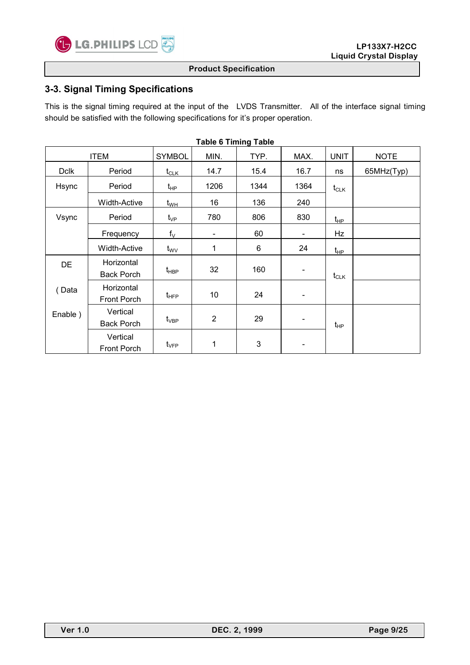

# **3-3. Signal Timing Specifications**

This is the signal timing required at the input of the LVDS Transmitter. All of the interface signal timing should be satisfied with the following specifications for it's proper operation.

|             |                                 |                                 | סושטו פווווווופן ואסוט |              |                          |             |             |
|-------------|---------------------------------|---------------------------------|------------------------|--------------|--------------------------|-------------|-------------|
|             | <b>ITEM</b>                     | <b>SYMBOL</b>                   | MIN.                   | TYP.         | MAX.                     | <b>UNIT</b> | <b>NOTE</b> |
| <b>Dclk</b> | Period                          | $t_{\scriptstyle\textrm{CLK}}$  | 14.7                   | 15.4         | 16.7                     | ns          | 65MHz(Typ)  |
| Hsync       | Period                          | $t_{\sf HP}$                    | 1206                   | 1344         | 1364                     | $t_{CLK}$   |             |
|             | <b>Width-Active</b>             | $t_{\sf WH}$                    | 16                     | 136          | 240                      |             |             |
| Vsync       | Period                          | $t_{\rm VP}$                    | 780                    | 806          | 830                      | $t_{HP}$    |             |
|             | Frequency                       | $f_V$                           | -                      | 60           | $\overline{\phantom{a}}$ | Hz          |             |
|             | <b>Width-Active</b>             | $t_{\rm WV}$                    | 1                      | 6            | 24                       | $t_{HP}$    |             |
| DE          | Horizontal<br><b>Back Porch</b> | t <sub>HBP</sub>                | 32                     | 160          | $\overline{\phantom{a}}$ | $t_{CLK}$   |             |
| Data        | Horizontal<br>Front Porch       | $t_{\sf HFP}$                   | 10                     | 24           | $\overline{\phantom{a}}$ |             |             |
| Enable)     | Vertical<br><b>Back Porch</b>   | $t_{\rm VBP}$                   | $\overline{2}$         | 29           | $\overline{\phantom{a}}$ | $t_{HP}$    |             |
|             | Vertical<br>Front Porch         | $t_{\scriptscriptstyle\rm VFP}$ | 1                      | $\mathbf{3}$ | -                        |             |             |

**Table 6 Timing Table**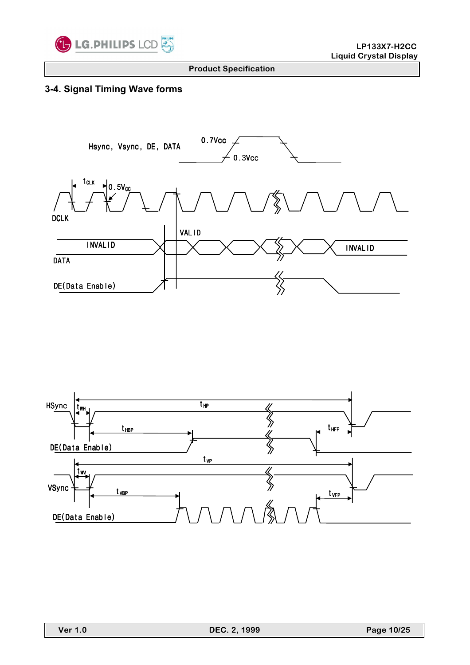

# **3-4. Signal Timing Wave forms**



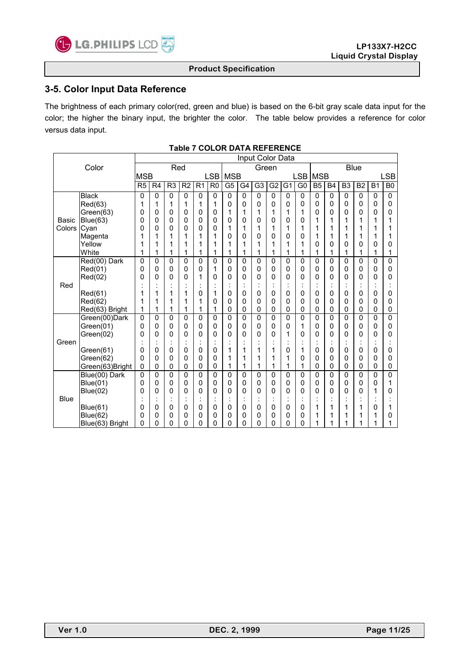

## **3-5. Color Input Data Reference**

The brightness of each primary color(red, green and blue) is based on the 6-bit gray scale data input for the color; the higher the binary input, the brighter the color. The table below provides a reference for color versus data input.

|             |                 |                             |                |                |                |                      |                |                | Input Color Data |                |                |                |                |                |              |                |                |           |                |
|-------------|-----------------|-----------------------------|----------------|----------------|----------------|----------------------|----------------|----------------|------------------|----------------|----------------|----------------|----------------|----------------|--------------|----------------|----------------|-----------|----------------|
|             | Color           | Red<br><b>Blue</b><br>Green |                |                |                |                      |                |                |                  |                |                |                |                |                |              |                |                |           |                |
|             |                 | <b>MSB</b>                  |                |                |                |                      | LSB            | <b>MSB</b>     |                  |                |                |                | <b>LSB</b>     | <b>MSB</b>     |              |                |                |           | LSB            |
|             |                 | R <sub>5</sub>              | R <sub>4</sub> | R <sub>3</sub> | R <sub>2</sub> | R <sub>1</sub>       | R <sub>0</sub> | G <sub>5</sub> | G <sub>4</sub>   | G <sub>3</sub> | G <sub>2</sub> | G <sub>1</sub> | G <sub>0</sub> | B <sub>5</sub> | <b>B4</b>    | B <sub>3</sub> | B <sub>2</sub> | <b>B1</b> | B <sub>0</sub> |
|             | <b>Black</b>    | 0                           | $\mathbf 0$    | $\mathbf 0$    | 0              | 0                    | 0              | $\Omega$       | 0                | 0              | 0              | 0              | $\mathbf 0$    | $\mathbf{0}$   | 0            | 0              | $\mathbf{0}$   | 0         | 0              |
|             | Red(63)         | 1                           | 1              | 1              | 1              | 1                    | 1              | 0              | 0                | 0              | $\mathbf 0$    | 0              | 0              | 0              | 0            | 0              | 0              | 0         | 0              |
|             | Green(63)       | 0                           | 0              | 0              | 0              | 0                    | 0              | 1              | 1                | 1              | 1              | 1              | 1              | 0              | 0            | 0              | 0              | 0         | 0              |
| Basic       | Blue(63)        | 0                           | 0              | 0              | 0              | 0                    | 0              | 0              | 0                | 0              | 0              | 0              | 0              | 1              | 1            | 1              | 1              | 1         | 1              |
| Colors      | Cyan            | 0                           | 0              | 0              | 0              | 0                    | 0              | 1              | 1                | 1              | 1              | 1              | 1              | 1              | 1            | 1              | 1              | 1         | 1              |
|             | Magenta         |                             | 1              | 1              |                | 1                    | 1              | 0              | 0                | 0              | 0              | 0              | 0              | 1              | 1            | 1              | 1              | 1         | 1              |
|             | Yellow          |                             | 1              | 1              | 1              | 1                    | 1              | 1              | 1                | 1              | 1              | 1              | 1              | 0              | 0            | 0              | 0              | 0         | 0              |
|             | White           | 1                           | 1              | 1              | 1              | 1                    | 1              | 1              | 1                | 1              | 1              | 1              | 1              | 1              | 1            | 1              | 1              | 1         | 1              |
|             | Red(00) Dark    | 0                           | 0              | $\mathbf 0$    | 0              | 0                    | 0              | 0              | 0                | 0              | $\mathbf{0}$   | 0              | 0              | $\mathbf{0}$   | 0            | 0              | $\mathbf{0}$   | 0         | 0              |
|             | Red(01)         | 0                           | 0              | 0              | 0              | 0                    | 1              | 0              | 0                | 0              | $\mathbf 0$    | 0              | 0              | 0              | 0            | 0              | 0              | 0         | 0              |
| Red         | Red(02)         | 0                           | 0              | 0              | 0              | 1                    | 0              | 0              | 0                | 0              | 0              | 0              | 0<br>٠         | 0              | 0            | 0              | 0              | 0         | 0              |
|             | Red(61)         |                             | 1              | 1              | 1              | $\cdot$<br>0         | 1              | $\cdot$<br>0   | 0                | 0              | $\mathbf{0}$   | 0              | $\cdot$<br>0   | 0              | $\cdot$<br>0 | 0              | 0              | ÷,<br>0   | 0              |
|             | Red(62)         |                             | 1              | 1              |                | 1                    | 0              | 0              | 0                | 0              | $\mathbf{0}$   | 0              | 0              | 0              | 0            | 0              | 0              | 0         | 0              |
|             | Red(63) Bright  |                             | 1              | 1              | 1              | 1                    | 1              | 0              | $\mathbf 0$      | 0              | $\mathbf{0}$   | 0              | 0              | $\mathbf{0}$   | 0            | 0              | 0              | 0         | 0              |
|             | Green(00)Dark   | 0                           | 0              | 0              | 0              | 0                    | 0              | 0              | 0                | 0              | $\mathbf 0$    | 0              | 0              | $\mathbf 0$    | $\Omega$     | 0              | 0              | 0         | $\mathbf 0$    |
|             | Green(01)       | 0                           | 0              | 0              | 0              | 0                    | 0              | 0              | 0                | 0              | $\mathbf 0$    | 0              | 1              | 0              | 0            | 0              | 0              | 0         | 0              |
|             | Green(02)       | 0                           | 0              | 0              | 0              | 0                    | 0              | $\mathbf 0$    | 0                | 0              | 0              | 1              | 0              | 0              | 0            | 0              | 0              | 0         | 0              |
| Green       |                 |                             |                |                |                | $\ddot{\phantom{a}}$ |                |                |                  |                |                |                |                |                |              |                |                |           |                |
|             | Green(61)       | 0                           | 0              | 0              | 0              | 0                    | 0              | 1              | 1                | 1              | 1              | 0              | 1              | 0              | 0            | 0              | 0              | 0         | 0              |
|             | Green(62)       | 0                           | 0              | 0              | 0              | 0                    | 0              | 1              | 1                | 1              | 1              | 1              | 0              | 0              | 0            | 0              | 0              | 0         | 0              |
|             | Green(63)Bright | 0                           | 0              | 0              | 0              | 0                    | 0              | 1              | 1                | 1              | 1              | 1              | 1              | 0              | 0            | 0              | 0              | 0         | 0              |
|             | Blue(00) Dark   | 0                           | 0              | 0              | 0              | 0                    | 0              | 0              | 0                | 0              | $\mathbf 0$    | 0              | 0              | $\mathbf 0$    | 0            | 0              | 0              | 0         | 0              |
|             | <b>Blue(01)</b> | 0                           | 0              | 0              | 0              | 0                    | 0              | 0              | 0                | 0              | $\mathbf 0$    | 0              | 0              | 0              | 0            | 0              | 0              | 0         | 1              |
|             | Blue(02)        | 0                           | 0              | 0              | 0              | 0                    | 0              | 0              | 0                | 0              | 0              | 0              | 0              | 0              | 0            | 0              | 0              | 1         | 0              |
| <b>Blue</b> |                 |                             |                |                |                | ٠<br>$\blacksquare$  |                |                |                  | $\overline{a}$ |                |                | $\blacksquare$ |                |              |                |                |           |                |
|             | <b>Blue(61)</b> | 0                           | 0              | 0              | 0              | 0                    | 0              | 0              | 0                | 0              | 0              | 0              | 0              | 1              | 1            | 1              | 1              | 0         | 1              |
|             | Blue(62)        | 0                           | 0              | 0              | 0              | 0                    | 0              | 0              | 0                | 0              | 0              | 0              | 0              | 1              | 1            | 1              | 1              | 1         | 0              |
|             | Blue(63) Bright | 0                           | 0              | 0              | 0              | 0                    | 0              | 0              | 0                | 0              | 0              | 0              | 0              | 1              | 1            | 1              | 1              | 1         | 1              |

#### **Table 7 COLOR DATA REFERENCE**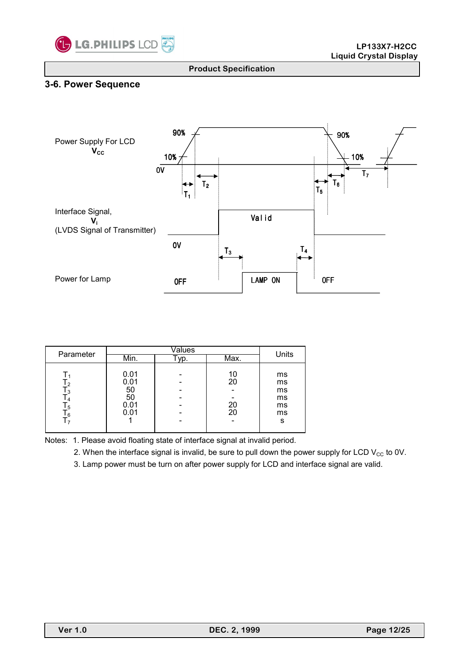

# **3-6. Power Sequence**



| Parameter                            |                                          | Units                |                                       |
|--------------------------------------|------------------------------------------|----------------------|---------------------------------------|
|                                      | Min.                                     | Max.                 |                                       |
| 3. ا<br>5. ا<br>-6<br>$\overline{7}$ | 0.01<br>0.01<br>50<br>50<br>0.01<br>0.01 | 10<br>20<br>20<br>20 | ms<br>ms<br>ms<br>ms<br>ms<br>ms<br>s |

Notes: 1. Please avoid floating state of interface signal at invalid period.

2. When the interface signal is invalid, be sure to pull down the power supply for LCD  $V_{CC}$  to 0V.

3. Lamp power must be turn on after power supply for LCD and interface signal are valid.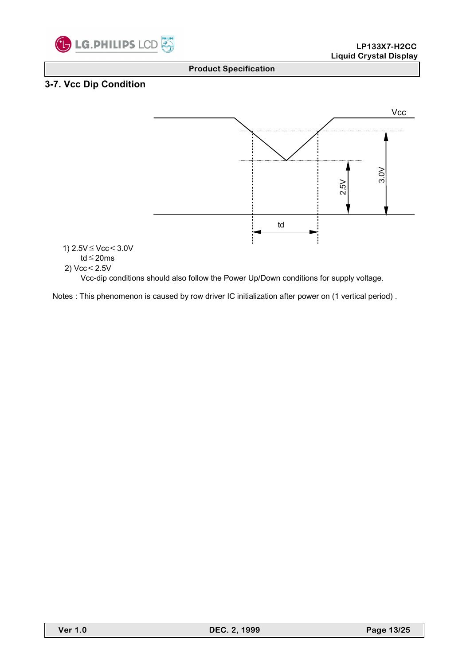

# **3-7. Vcc Dip Condition**

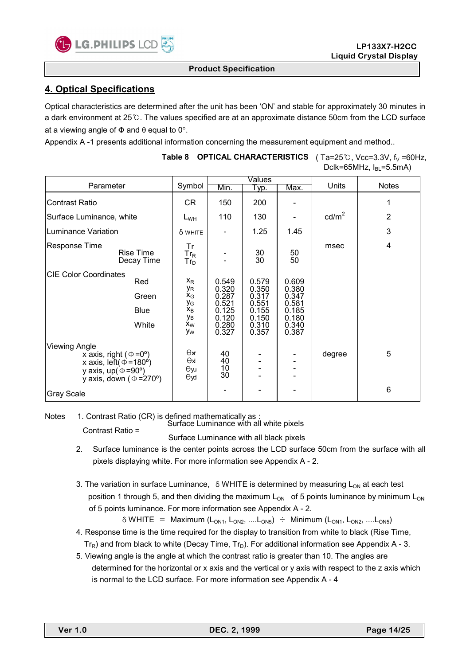

# **4. Optical Specifications**

Optical characteristics are determined after the unit has been 'ON' and stable for approximately 30 minutes in a dark environment at 25℃. The values specified are at an approximate distance 50cm from the LCD surface at a viewing angle of  $\Phi$  and  $\theta$  equal to 0°.

Appendix A -1 presents additional information concerning the measurement equipment and method..

|                                                                                                                                                                                    |                                                                     |                                                                      | Values                                                               |                                                                      |                 |                |
|------------------------------------------------------------------------------------------------------------------------------------------------------------------------------------|---------------------------------------------------------------------|----------------------------------------------------------------------|----------------------------------------------------------------------|----------------------------------------------------------------------|-----------------|----------------|
| Parameter                                                                                                                                                                          | Symbol                                                              | Min.                                                                 | Typ.                                                                 | Max.                                                                 | Units           | <b>Notes</b>   |
| <b>Contrast Ratio</b>                                                                                                                                                              | CR.                                                                 | 150                                                                  | 200                                                                  |                                                                      |                 | 1              |
| Surface Luminance, white                                                                                                                                                           | $L_{WH}$                                                            | 110                                                                  | 130                                                                  |                                                                      | $\text{cd/m}^2$ | $\overline{2}$ |
| <b>Luminance Variation</b>                                                                                                                                                         | δ white                                                             |                                                                      | 1.25                                                                 | 1.45                                                                 |                 | 3              |
| <b>Response Time</b><br><b>Rise Time</b><br>Decay Time                                                                                                                             | Tr<br>$\mathsf{Tr}_\mathsf{R}$<br>$Tr_D$                            |                                                                      | 30<br>$\overline{30}$                                                | 50<br>50                                                             | msec            | 4              |
| <b>CIE Color Coordinates</b><br>Red<br>Green<br>Blue<br>White                                                                                                                      | $X_{R}$<br>УR<br>$X_G$<br>УG<br>$x_B$<br>Ув<br>X <sub>W</sub><br>Уw | 0.549<br>0.320<br>0.287<br>0.521<br>0.125<br>0.120<br>0.280<br>0.327 | 0.579<br>0.350<br>0.317<br>0.551<br>0.155<br>0.150<br>0.310<br>0.357 | 0.609<br>0.380<br>0.347<br>0.581<br>0.185<br>0.180<br>0.340<br>0.387 |                 |                |
| <b>Viewing Angle</b><br>x axis, right ( $\Phi = 0^{\circ}$ )<br>x axis, left( $\phi$ =180 <sup>o</sup> )<br>y axis, $up(\Phi = 90^{\circ})$<br>y axis, down ( $\Phi = 270^\circ$ ) | Өж<br>kΘ<br>Өуи<br>$\Theta$ yd                                      | 40<br>40<br>10<br>30 <sup>°</sup>                                    |                                                                      |                                                                      | degree          | 5              |
| <b>Gray Scale</b>                                                                                                                                                                  |                                                                     |                                                                      |                                                                      |                                                                      |                 | 6              |

### **Table 8 OPTICAL CHARACTERISTICS** (Ta=25℃, Vcc=3.3V, f<sub>V</sub> =60Hz, Dclk=65MHz,  $I_{BL}$ =5.5mA)

Notes 1. Contrast Ratio (CR) is defined mathematically as :

Surface Luminance with all white pixels Contrast Ratio =

Surface Luminance with all black pixels

- 2. Surface luminance is the center points across the LCD surface 50cm from the surface with all pixels displaying white. For more information see Appendix A - 2.
- 3. The variation in surface Luminance,  $\delta$  WHITE is determined by measuring L<sub>ON</sub> at each test position 1 through 5, and then dividing the maximum  $L_{ON}$  of 5 points luminance by minimum  $L_{ON}$ of 5 points luminance. For more information see Appendix A - 2.

 $\delta$  WHITE = Maximum (L<sub>ON1</sub>, L<sub>ON2</sub>, ....L<sub>ON5</sub>) ÷ Minimum (L<sub>ON1</sub>, L<sub>ON2</sub>, ....L<sub>ON5</sub>)

- 4. Response time is the time required for the display to transition from white to black (Rise Time,  $Tr_R$ ) and from black to white (Decay Time,  $Tr_D$ ). For additional information see Appendix A - 3.
- 5. Viewing angle is the angle at which the contrast ratio is greater than 10. The angles are determined for the horizontal or x axis and the vertical or y axis with respect to the z axis which is normal to the LCD surface. For more information see Appendix A - 4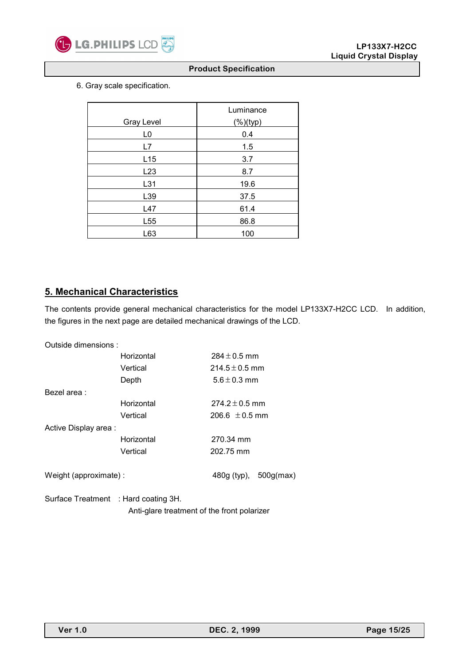

6. Gray scale specification.

| <b>Gray Level</b> | Luminance    |
|-------------------|--------------|
|                   | $(\%)$ (typ) |
| L <sub>0</sub>    | 0.4          |
| L7                | 1.5          |
| L15               | 3.7          |
| L <sub>23</sub>   | 8.7          |
| L31               | 19.6         |
| L39               | 37.5         |
| L47               | 61.4         |
| L <sub>55</sub>   | 86.8         |
| L63               | 100          |

# **5. Mechanical Characteristics**

The contents provide general mechanical characteristics for the model LP133X7-H2CC LCD. In addition, the figures in the next page are detailed mechanical drawings of the LCD.

| Outside dimensions:                  |            |                       |  |  |  |  |
|--------------------------------------|------------|-----------------------|--|--|--|--|
|                                      | Horizontal | $284 \pm 0.5$ mm      |  |  |  |  |
|                                      | Vertical   | $214.5 \pm 0.5$ mm    |  |  |  |  |
|                                      | Depth      | $5.6 \pm 0.3$ mm      |  |  |  |  |
| Bezel area:                          |            |                       |  |  |  |  |
|                                      | Horizontal | $274.2 \pm 0.5$ mm    |  |  |  |  |
|                                      | Vertical   | 206.6 $\pm$ 0.5 mm    |  |  |  |  |
| Active Display area:                 |            |                       |  |  |  |  |
|                                      | Horizontal | 270.34 mm             |  |  |  |  |
|                                      | Vertical   | 202.75 mm             |  |  |  |  |
| Weight (approximate):                |            | 480g (typ), 500g(max) |  |  |  |  |
| Surface Treatment : Hard coating 3H. |            |                       |  |  |  |  |

Anti-glare treatment of the front polarizer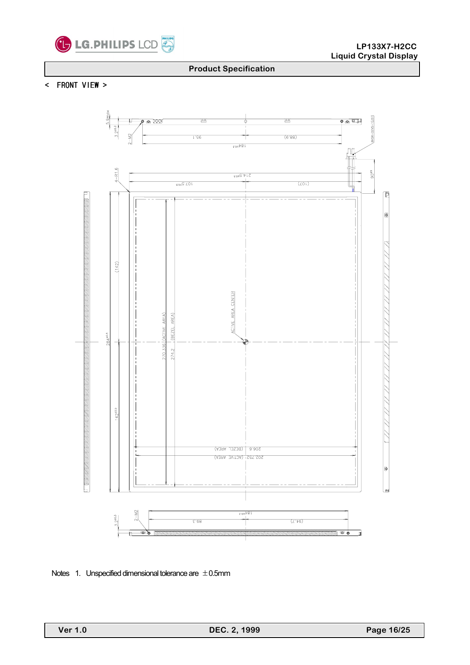

< FRONT VIEW >



Notes 1. Unspecified dimensional tolerance are  $\pm 0.5$ mm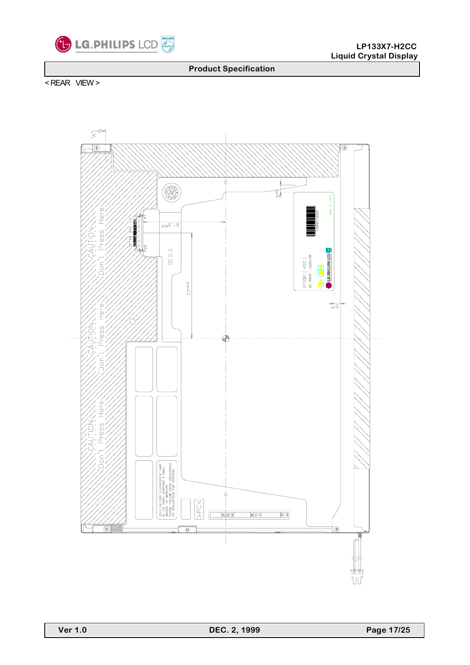

< REAR VIEW >

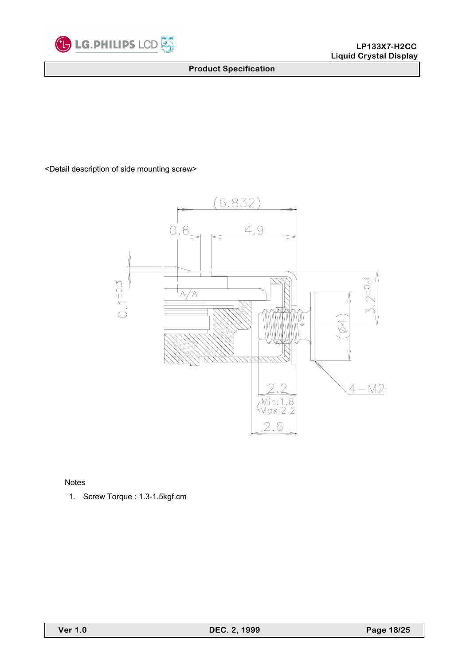

<Detail description of side mounting screw>



Notes

1. Screw Torque : 1.3-1.5kgf.cm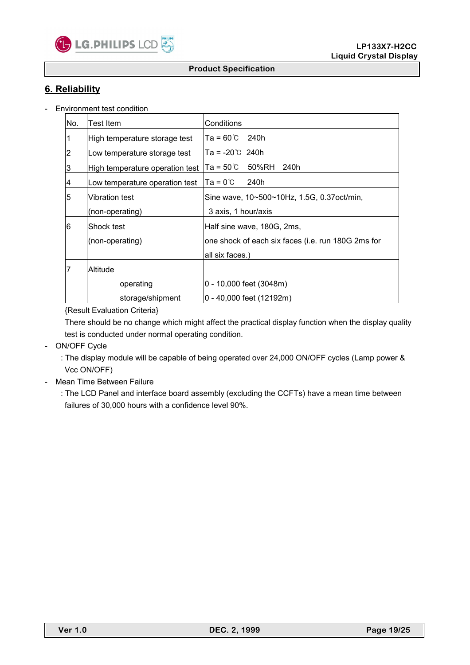

# **6. Reliability**

- Environment test condition

| No.            | Test Item                       | Conditions                                         |
|----------------|---------------------------------|----------------------------------------------------|
| $\vert$ 1      | High temperature storage test   | $Ta = 60^{\circ}C$ 240h                            |
| $\overline{2}$ | Low temperature storage test    | $Ta = -20^{\circ}C$ 240h                           |
| 3              | High temperature operation test | lTa = 50℃<br>50%RH<br>240h                         |
| $\overline{4}$ | Low temperature operation test  | $Ta = 0^{\circ}C$<br>240h                          |
| 5              | lVibration test                 | Sine wave, 10~500~10Hz, 1.5G, 0.37 oct/min,        |
|                | (non-operating)                 | 3 axis, 1 hour/axis                                |
| 6              | lShock test                     | Half sine wave, 180G, 2ms,                         |
|                | (non-operating)                 | one shock of each six faces (i.e. run 180G 2ms for |
|                |                                 | all six faces.)                                    |
| 17             | lAltitude                       |                                                    |
|                | operating                       | 0 - 10,000 feet (3048m)                            |
|                | storage/shipment                | 0 - 40,000 feet (12192m)                           |

### {Result Evaluation Criteria}

 There should be no change which might affect the practical display function when the display quality test is conducted under normal operating condition.

- ON/OFF Cycle
	- : The display module will be capable of being operated over 24,000 ON/OFF cycles (Lamp power & Vcc ON/OFF)
- Mean Time Between Failure
	- : The LCD Panel and interface board assembly (excluding the CCFTs) have a mean time between failures of 30,000 hours with a confidence level 90%.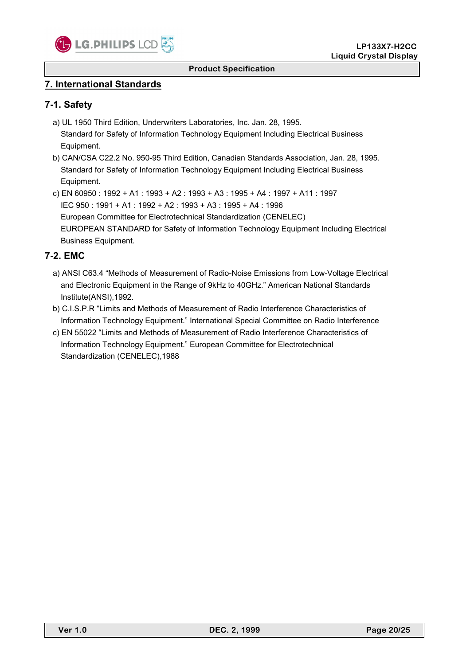

# **7. International Standards**

# **7-1. Safety**

- a) UL 1950 Third Edition, Underwriters Laboratories, Inc. Jan. 28, 1995. Standard for Safety of Information Technology Equipment Including Electrical Business Equipment.
- b) CAN/CSA C22.2 No. 950-95 Third Edition, Canadian Standards Association, Jan. 28, 1995. Standard for Safety of Information Technology Equipment Including Electrical Business Equipment.
- c) EN 60950 : 1992 + A1 : 1993 + A2 : 1993 + A3 : 1995 + A4 : 1997 + A11 : 1997 IEC 950 : 1991 + A1 : 1992 + A2 : 1993 + A3 : 1995 + A4 : 1996 European Committee for Electrotechnical Standardization (CENELEC) EUROPEAN STANDARD for Safety of Information Technology Equipment Including Electrical Business Equipment.

# **7-2. EMC**

- a) ANSI C63.4 "Methods of Measurement of Radio-Noise Emissions from Low-Voltage Electrical and Electronic Equipment in the Range of 9kHz to 40GHz." American National Standards Institute(ANSI),1992.
- b) C.I.S.P.R "Limits and Methods of Measurement of Radio Interference Characteristics of Information Technology Equipment." International Special Committee on Radio Interference
- c) EN 55022 "Limits and Methods of Measurement of Radio Interference Characteristics of Information Technology Equipment." European Committee for Electrotechnical Standardization (CENELEC),1988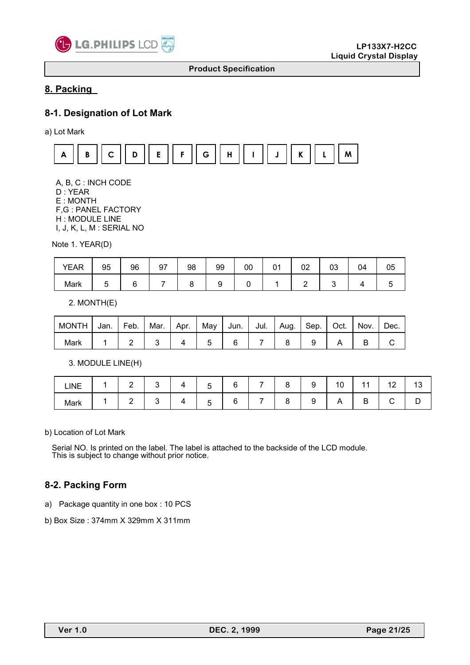

# **8. Packing**

## **8-1. Designation of Lot Mark**

a) Lot Mark



 A, B, C : INCH CODE D : YEAR E : MONTH F,G : PANEL FACTORY H : MODULE LINE I, J, K, L, M : SERIAL NO

Note 1. YEAR(D)

| <b>YEAR</b> | 95 | 96 | 97 | 98 | 99 | 00 | 02 | 03 | 04 | ∪5 |
|-------------|----|----|----|----|----|----|----|----|----|----|
| Mark        |    |    |    |    |    |    |    |    |    |    |

2. MONTH(E)

| <b>MONTH</b> | Jan. | Feb. | Mar. Apr. | . $\blacksquare$ May $\blacksquare$ Jun. $\blacksquare$ |  | Jul.   Aug.   Sep.   Oct. |  | Nov. | Dec. |
|--------------|------|------|-----------|---------------------------------------------------------|--|---------------------------|--|------|------|
| Mark         |      |      |           |                                                         |  |                           |  |      |      |

3. MODULE LINE(H)

| LINE | $\sqrt{2}$<br>- |  | -<br>∽<br>ັ | ∽ | - | ∽<br>ч | $\overline{\phantom{a}}$<br>10 |        | ៱<br>12 | $\sqrt{2}$<br>ں ا |
|------|-----------------|--|-------------|---|---|--------|--------------------------------|--------|---------|-------------------|
| Mark | ⌒<br>-          |  | -<br>∽<br>ີ | L | - | ◡      | $\Gamma$                       | Р<br>◡ |         |                   |

b) Location of Lot Mark

Serial NO. Is printed on the label. The label is attached to the backside of the LCD module. This is subject to change without prior notice.

### **8-2. Packing Form**

a) Package quantity in one box : 10 PCS

b) Box Size : 374mm X 329mm X 311mm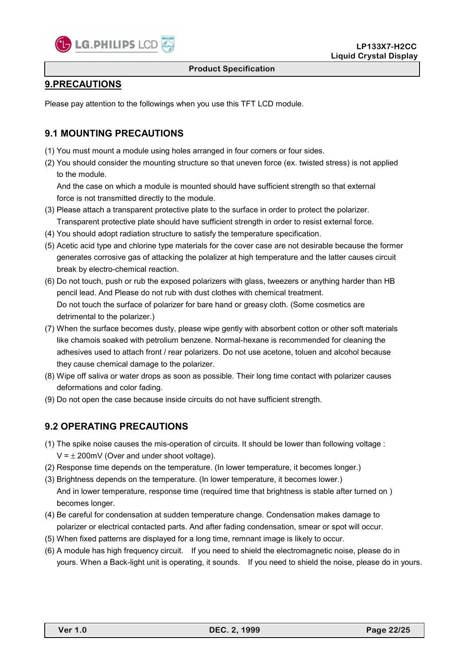

# **9.PRECAUTIONS**

Please pay attention to the followings when you use this TFT LCD module.

# **9.1 MOUNTING PRECAUTIONS**

- (1) You must mount a module using holes arranged in four corners or four sides.
- (2) You should consider the mounting structure so that uneven force (ex. twisted stress) is not applied to the module.

 And the case on which a module is mounted should have sufficient strength so that external force is not transmitted directly to the module.

- (3) Please attach a transparent protective plate to the surface in order to protect the polarizer. Transparent protective plate should have sufficient strength in order to resist external force.
- (4) You should adopt radiation structure to satisfy the temperature specification.
- (5) Acetic acid type and chlorine type materials for the cover case are not desirable because the former generates corrosive gas of attacking the polalizer at high temperature and the latter causes circuit break by electro-chemical reaction.
- (6) Do not touch, push or rub the exposed polarizers with glass, tweezers or anything harder than HB pencil lead. And Please do not rub with dust clothes with chemical treatment. Do not touch the surface of polarizer for bare hand or greasy cloth. (Some cosmetics are detrimental to the polarizer.)
- (7) When the surface becomes dusty, please wipe gently with absorbent cotton or other soft materials like chamois soaked with petrolium benzene. Normal-hexane is recommended for cleaning the adhesives used to attach front / rear polarizers. Do not use acetone, toluen and alcohol because they cause chemical damage to the polarizer.
- (8) Wipe off saliva or water drops as soon as possible. Their long time contact with polarizer causes deformations and color fading.
- (9) Do not open the case because inside circuits do not have sufficient strength.

# **9.2 OPERATING PRECAUTIONS**

- (1) The spike noise causes the mis-operation of circuits. It should be lower than following voltage :  $V = \pm 200$ mV (Over and under shoot voltage).
- (2) Response time depends on the temperature. (In lower temperature, it becomes longer.)
- (3) Brightness depends on the temperature. (In lower temperature, it becomes lower.) And in lower temperature, response time (required time that brightness is stable after turned on ) becomes longer.
- (4) Be careful for condensation at sudden temperature change. Condensation makes damage to polarizer or electrical contacted parts. And after fading condensation, smear or spot will occur.
- (5) When fixed patterns are displayed for a long time, remnant image is likely to occur.
- (6) A module has high frequency circuit. If you need to shield the electromagnetic noise, please do in yours. When a Back-light unit is operating, it sounds. If you need to shield the noise, please do in yours.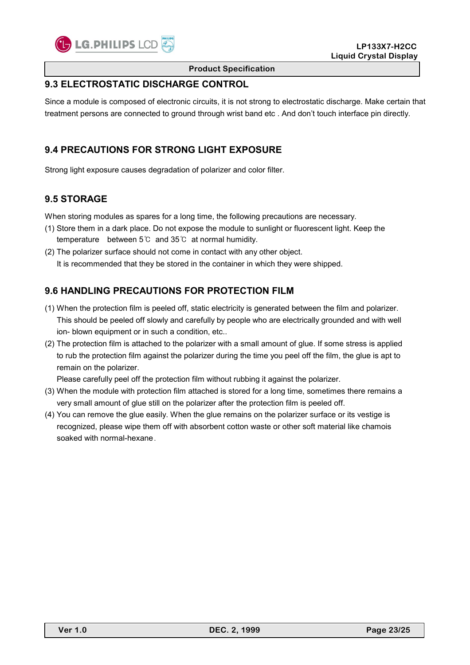

# **9.3 ELECTROSTATIC DISCHARGE CONTROL**

Since a module is composed of electronic circuits, it is not strong to electrostatic discharge. Make certain that treatment persons are connected to ground through wrist band etc . And don't touch interface pin directly.

# **9.4 PRECAUTIONS FOR STRONG LIGHT EXPOSURE**

Strong light exposure causes degradation of polarizer and color filter.

# **9.5 STORAGE**

When storing modules as spares for a long time, the following precautions are necessary.

- (1) Store them in a dark place. Do not expose the module to sunlight or fluorescent light. Keep the temperature between 5℃ and 35℃ at normal humidity.
- (2) The polarizer surface should not come in contact with any other object. It is recommended that they be stored in the container in which they were shipped.

# **9.6 HANDLING PRECAUTIONS FOR PROTECTION FILM**

- (1) When the protection film is peeled off, static electricity is generated between the film and polarizer. This should be peeled off slowly and carefully by people who are electrically grounded and with well ion- blown equipment or in such a condition, etc..
- (2) The protection film is attached to the polarizer with a small amount of glue. If some stress is applied to rub the protection film against the polarizer during the time you peel off the film, the glue is apt to remain on the polarizer.

Please carefully peel off the protection film without rubbing it against the polarizer.

- (3) When the module with protection film attached is stored for a long time, sometimes there remains a very small amount of glue still on the polarizer after the protection film is peeled off.
- (4) You can remove the glue easily. When the glue remains on the polarizer surface or its vestige is recognized, please wipe them off with absorbent cotton waste or other soft material like chamois soaked with normal-hexane.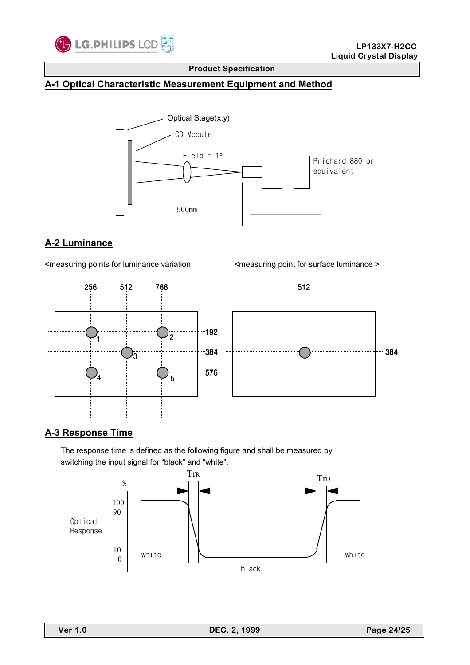

# **A-1 Optical Characteristic Measurement Equipment and Method**



# **A-2 Luminance**

<measuring points for luminance variation <measuring point for surface luminance >



### **A-3 Response Time**

 The response time is defined as the following figure and shall be measured by switching the input signal for "black" and "white".